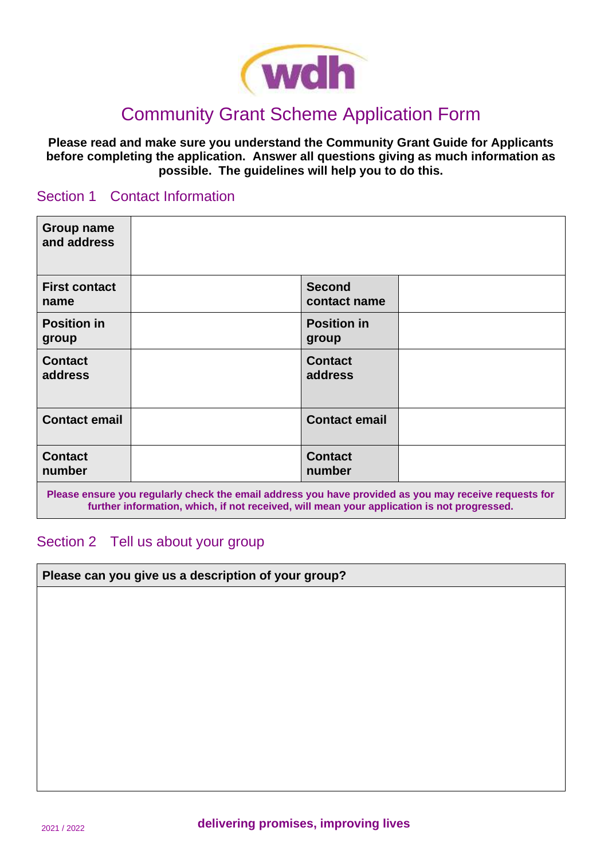

# Community Grant Scheme Application Form

**Please read and make sure you understand the Community Grant Guide for Applicants before completing the application. Answer all questions giving as much information as possible. The guidelines will help you to do this.**

## Section 1 Contact Information

| <b>Group name</b><br>and address |                               |  |
|----------------------------------|-------------------------------|--|
| <b>First contact</b><br>name     | <b>Second</b><br>contact name |  |
| <b>Position in</b><br>group      | <b>Position in</b><br>group   |  |
| <b>Contact</b><br>address        | <b>Contact</b><br>address     |  |
| <b>Contact email</b>             | <b>Contact email</b>          |  |
| <b>Contact</b><br>number         | <b>Contact</b><br>number      |  |

**Please ensure you regularly check the email address you have provided as you may receive requests for further information, which, if not received, will mean your application is not progressed.**

## Section 2 Tell us about your group

| Please can you give us a description of your group? |  |  |
|-----------------------------------------------------|--|--|
|                                                     |  |  |
|                                                     |  |  |
|                                                     |  |  |
|                                                     |  |  |
|                                                     |  |  |
|                                                     |  |  |
|                                                     |  |  |
|                                                     |  |  |
|                                                     |  |  |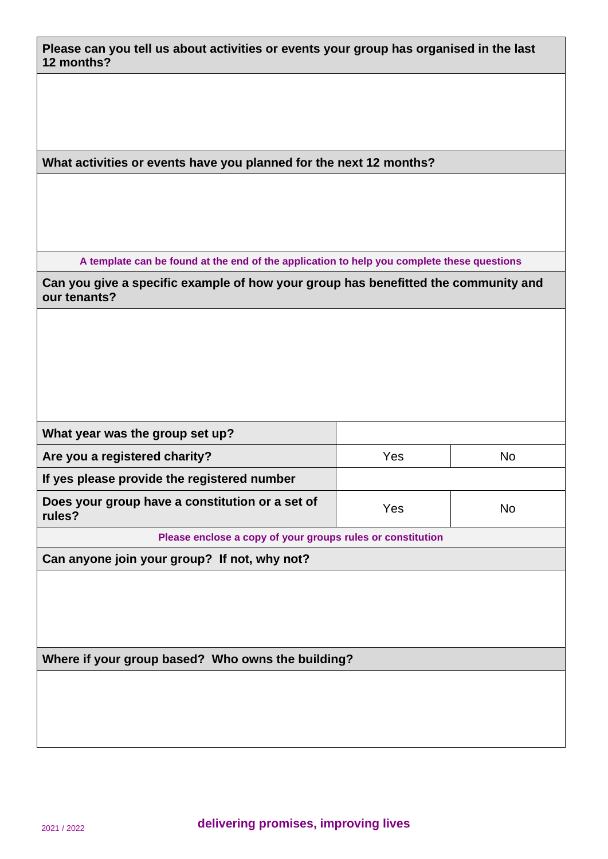**Please can you tell us about activities or events your group has organised in the last 12 months?**

**What activities or events have you planned for the next 12 months?**

**A template can be found at the end of the application to help you complete these questions**

**Can you give a specific example of how your group has benefitted the community and our tenants?**

| What year was the group set up?                            |     |           |
|------------------------------------------------------------|-----|-----------|
| Are you a registered charity?                              | Yes | <b>No</b> |
| If yes please provide the registered number                |     |           |
| Does your group have a constitution or a set of<br>rules?  | Yes | <b>No</b> |
| Please enclose a copy of your groups rules or constitution |     |           |
| Can anyone join your group? If not, why not?               |     |           |
|                                                            |     |           |
| Where if your group based? Who owns the building?          |     |           |
|                                                            |     |           |
|                                                            |     |           |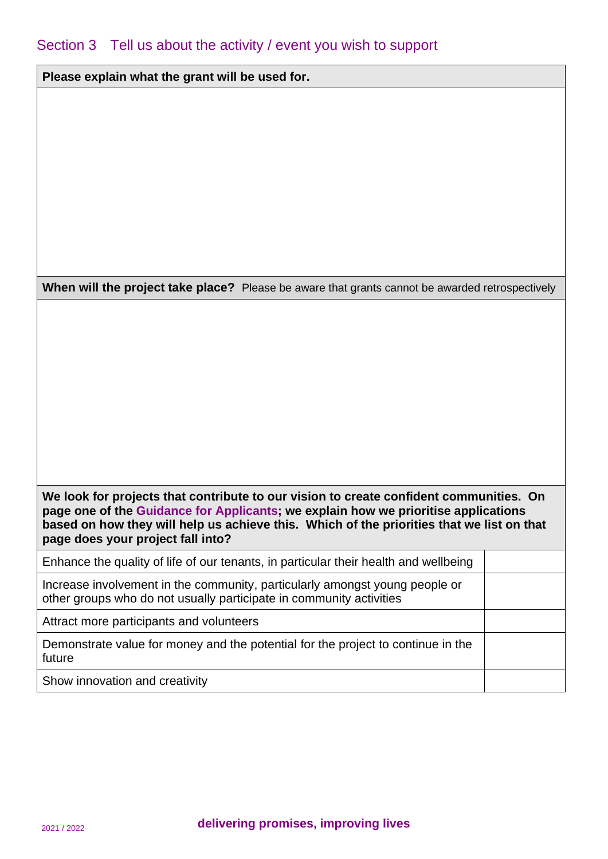## Section 3 Tell us about the activity / event you wish to support

**Please explain what the grant will be used for.**

**When will the project take place?** Please be aware that grants cannot be awarded retrospectively

**We look for projects that contribute to our vision to create confident communities. On page one of the Guidance for Applicants; we explain how we prioritise applications based on how they will help us achieve this. Which of the priorities that we list on that page does your project fall into?**

Enhance the quality of life of our tenants, in particular their health and wellbeing Increase involvement in the community, particularly amongst young people or other groups who do not usually participate in community activities

Attract more participants and volunteers

Demonstrate value for money and the potential for the project to continue in the future

Show innovation and creativity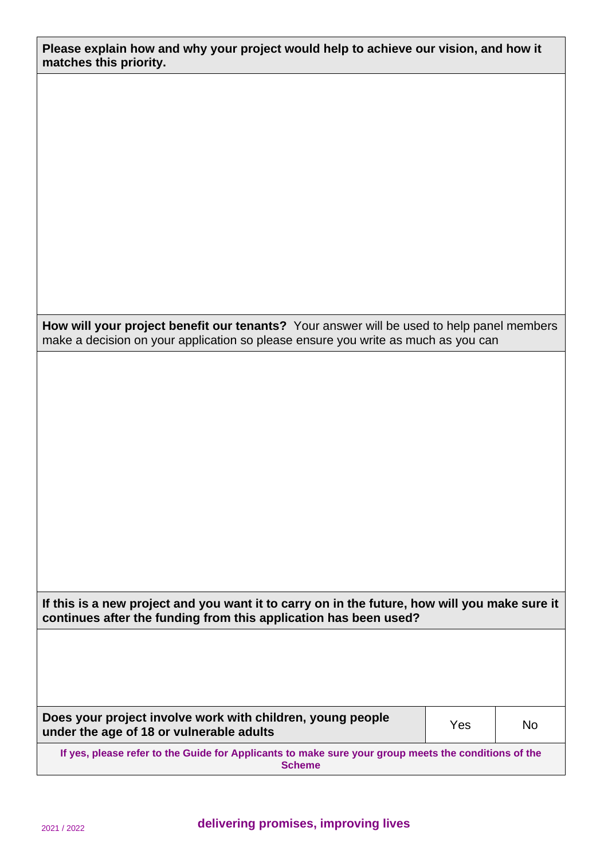**Please explain how and why your project would help to achieve our vision, and how it matches this priority.**

**How will your project benefit our tenants?** Your answer will be used to help panel members make a decision on your application so please ensure you write as much as you can

**If this is a new project and you want it to carry on in the future, how will you make sure it continues after the funding from this application has been used?**

| Does your project involve work with children, young people<br>under the age of 18 or vulnerable adults                |  | <b>No</b> |
|-----------------------------------------------------------------------------------------------------------------------|--|-----------|
| If yes, please refer to the Guide for Applicants to make sure your group meets the conditions of the<br><b>Scheme</b> |  |           |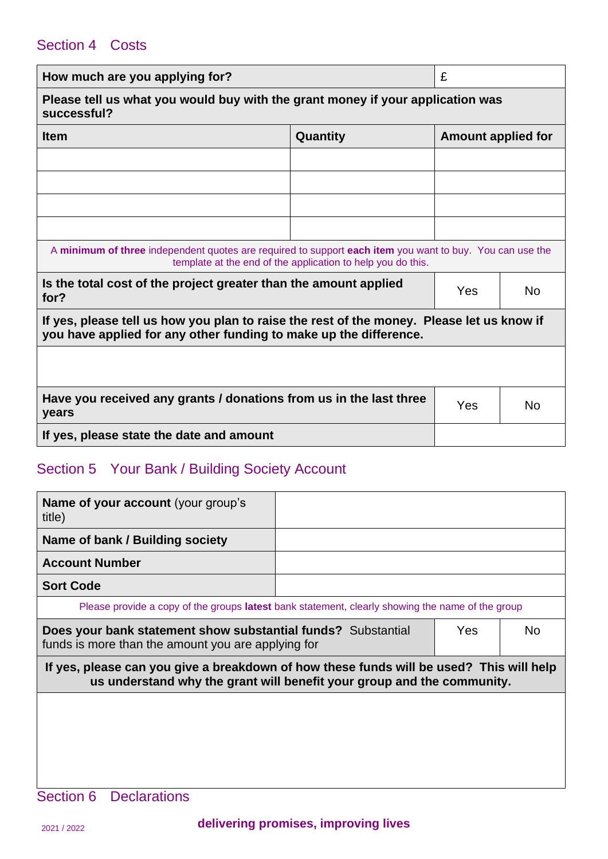## Section 4 Costs

| How much are you applying for?                                                                                                                                 |                                                             |  | £         |  |
|----------------------------------------------------------------------------------------------------------------------------------------------------------------|-------------------------------------------------------------|--|-----------|--|
| Please tell us what you would buy with the grant money if your application was<br>successful?                                                                  |                                                             |  |           |  |
| <b>Item</b>                                                                                                                                                    | Quantity                                                    |  |           |  |
|                                                                                                                                                                |                                                             |  |           |  |
|                                                                                                                                                                |                                                             |  |           |  |
|                                                                                                                                                                |                                                             |  |           |  |
|                                                                                                                                                                |                                                             |  |           |  |
| A minimum of three independent quotes are required to support each item you want to buy. You can use the                                                       | template at the end of the application to help you do this. |  |           |  |
| Is the total cost of the project greater than the amount applied<br>for?                                                                                       |                                                             |  | <b>No</b> |  |
| If yes, please tell us how you plan to raise the rest of the money. Please let us know if<br>you have applied for any other funding to make up the difference. |                                                             |  |           |  |
|                                                                                                                                                                |                                                             |  |           |  |
| Have you received any grants / donations from us in the last three<br>years                                                                                    |                                                             |  | No        |  |
| If yes, please state the date and amount                                                                                                                       |                                                             |  |           |  |

# Section 5 Your Bank / Building Society Account

| <b>Name of your account (your group's</b><br>title)                                                                                                               |  |  |  |
|-------------------------------------------------------------------------------------------------------------------------------------------------------------------|--|--|--|
| Name of bank / Building society                                                                                                                                   |  |  |  |
| <b>Account Number</b>                                                                                                                                             |  |  |  |
| <b>Sort Code</b>                                                                                                                                                  |  |  |  |
| Please provide a copy of the groups latest bank statement, clearly showing the name of the group                                                                  |  |  |  |
| <b>Does your bank statement show substantial funds?</b> Substantial<br><b>Yes</b><br>No<br>funds is more than the amount you are applying for                     |  |  |  |
| If yes, please can you give a breakdown of how these funds will be used? This will help<br>us understand why the grant will benefit your group and the community. |  |  |  |
|                                                                                                                                                                   |  |  |  |
|                                                                                                                                                                   |  |  |  |
|                                                                                                                                                                   |  |  |  |
|                                                                                                                                                                   |  |  |  |

## Section 6 Declarations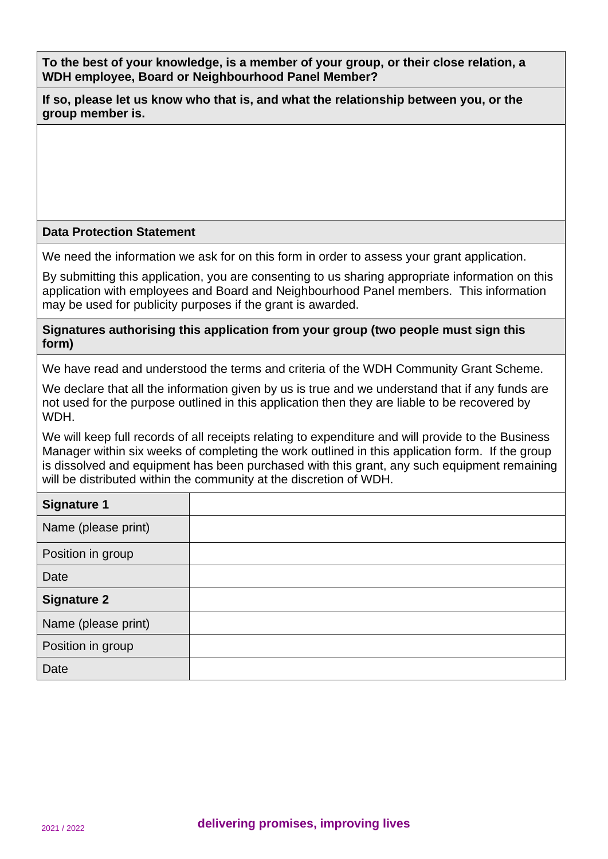| To the best of your knowledge, is a member of your group, or their close relation, a |
|--------------------------------------------------------------------------------------|
| WDH employee, Board or Neighbourhood Panel Member?                                   |

|                  | If so, please let us know who that is, and what the relationship between you, or the |  |
|------------------|--------------------------------------------------------------------------------------|--|
| group member is. |                                                                                      |  |

#### **Data Protection Statement**

We need the information we ask for on this form in order to assess your grant application.

By submitting this application, you are consenting to us sharing appropriate information on this application with employees and Board and Neighbourhood Panel members. This information may be used for publicity purposes if the grant is awarded.

**Signatures authorising this application from your group (two people must sign this form)**

We have read and understood the terms and criteria of the WDH Community Grant Scheme.

We declare that all the information given by us is true and we understand that if any funds are not used for the purpose outlined in this application then they are liable to be recovered by WDH.

We will keep full records of all receipts relating to expenditure and will provide to the Business Manager within six weeks of completing the work outlined in this application form. If the group is dissolved and equipment has been purchased with this grant, any such equipment remaining will be distributed within the community at the discretion of WDH.

| <b>Signature 1</b>  |  |
|---------------------|--|
| Name (please print) |  |
| Position in group   |  |
| Date                |  |
| <b>Signature 2</b>  |  |
| Name (please print) |  |
| Position in group   |  |
| Date                |  |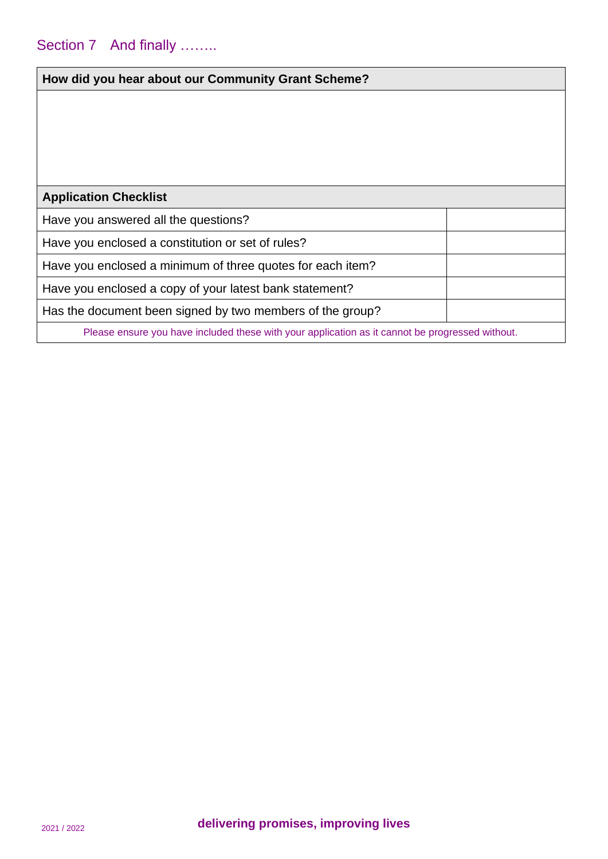# Section 7 And finally ……..

| How did you hear about our Community Grant Scheme?                                              |  |  |  |
|-------------------------------------------------------------------------------------------------|--|--|--|
|                                                                                                 |  |  |  |
|                                                                                                 |  |  |  |
|                                                                                                 |  |  |  |
|                                                                                                 |  |  |  |
| <b>Application Checklist</b>                                                                    |  |  |  |
| Have you answered all the questions?                                                            |  |  |  |
| Have you enclosed a constitution or set of rules?                                               |  |  |  |
| Have you enclosed a minimum of three quotes for each item?                                      |  |  |  |
| Have you enclosed a copy of your latest bank statement?                                         |  |  |  |
| Has the document been signed by two members of the group?                                       |  |  |  |
| Please ensure you have included these with your application as it cannot be progressed without. |  |  |  |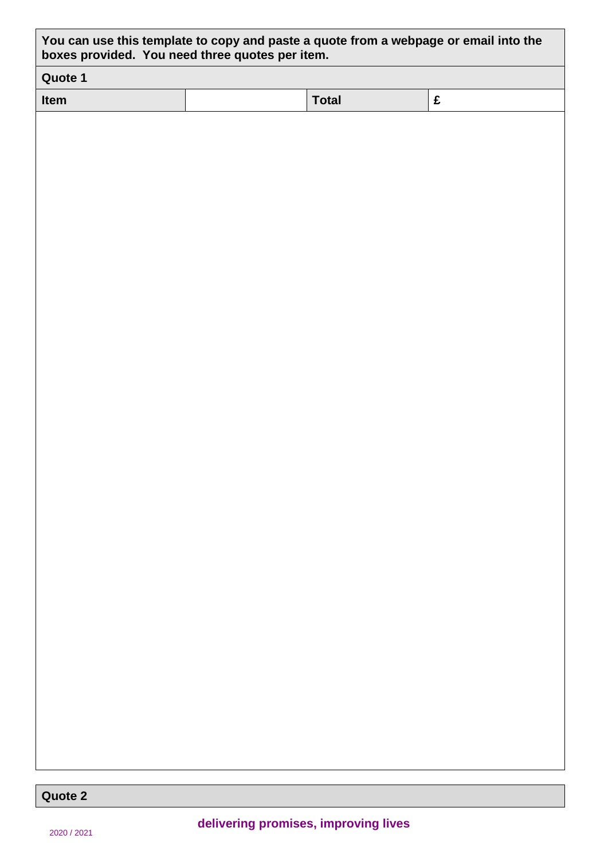| You can use this template to copy and paste a quote from a webpage or email into the<br>boxes provided. You need three quotes per item. |  |              |                      |
|-----------------------------------------------------------------------------------------------------------------------------------------|--|--------------|----------------------|
| Quote 1                                                                                                                                 |  |              |                      |
| Item                                                                                                                                    |  | <b>Total</b> | $\pmb{\mathfrak{L}}$ |
|                                                                                                                                         |  |              |                      |
|                                                                                                                                         |  |              |                      |
|                                                                                                                                         |  |              |                      |
|                                                                                                                                         |  |              |                      |
|                                                                                                                                         |  |              |                      |
|                                                                                                                                         |  |              |                      |
|                                                                                                                                         |  |              |                      |
|                                                                                                                                         |  |              |                      |
|                                                                                                                                         |  |              |                      |
|                                                                                                                                         |  |              |                      |
|                                                                                                                                         |  |              |                      |
|                                                                                                                                         |  |              |                      |
|                                                                                                                                         |  |              |                      |
|                                                                                                                                         |  |              |                      |
|                                                                                                                                         |  |              |                      |
|                                                                                                                                         |  |              |                      |
|                                                                                                                                         |  |              |                      |
|                                                                                                                                         |  |              |                      |
|                                                                                                                                         |  |              |                      |
|                                                                                                                                         |  |              |                      |
|                                                                                                                                         |  |              |                      |
|                                                                                                                                         |  |              |                      |
|                                                                                                                                         |  |              |                      |
|                                                                                                                                         |  |              |                      |
|                                                                                                                                         |  |              |                      |
|                                                                                                                                         |  |              |                      |
|                                                                                                                                         |  |              |                      |
|                                                                                                                                         |  |              |                      |
|                                                                                                                                         |  |              |                      |

┑

#### **Quote 2**

Г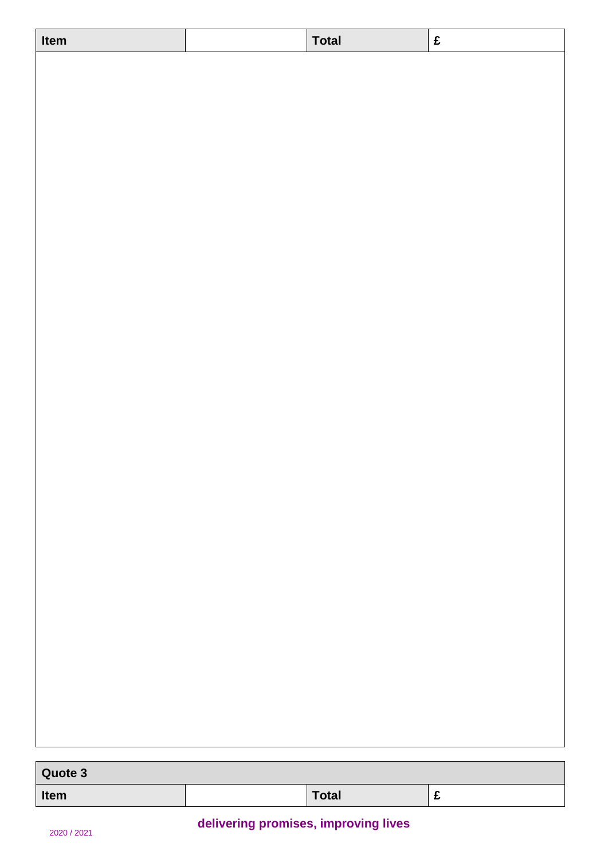| Item | <b>Total</b> | $\pmb{\mathfrak{E}}$ |
|------|--------------|----------------------|
|      |              |                      |
|      |              |                      |
|      |              |                      |
|      |              |                      |
|      |              |                      |
|      |              |                      |
|      |              |                      |
|      |              |                      |
|      |              |                      |
|      |              |                      |
|      |              |                      |
|      |              |                      |
|      |              |                      |
|      |              |                      |
|      |              |                      |
|      |              |                      |
|      |              |                      |
|      |              |                      |
|      |              |                      |
|      |              |                      |
|      |              |                      |
|      |              |                      |
|      |              |                      |
|      |              |                      |
|      |              |                      |
|      |              |                      |
|      |              |                      |
|      |              |                      |
|      |              |                      |
|      |              |                      |
|      |              |                      |

| Quote 3 |              |   |
|---------|--------------|---|
| Item    | <b>Total</b> | £ |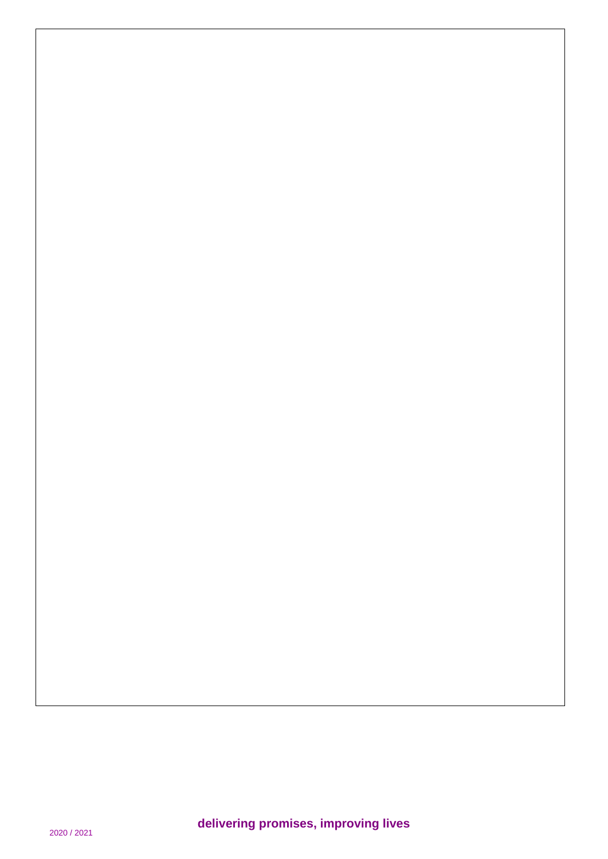## **delivering promises, improving lives**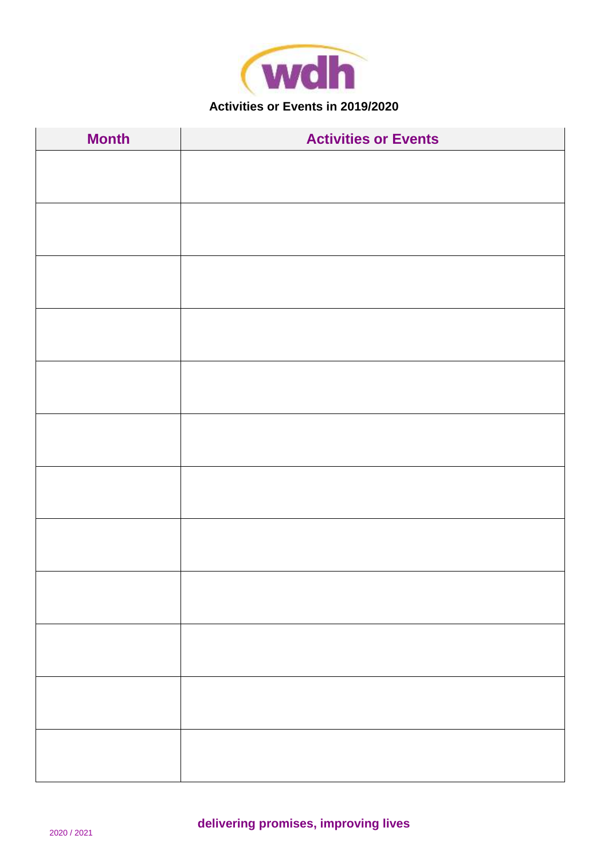

| <b>Month</b> | <b>Activities or Events</b> |  |  |
|--------------|-----------------------------|--|--|
|              |                             |  |  |
|              |                             |  |  |
|              |                             |  |  |
|              |                             |  |  |
|              |                             |  |  |
|              |                             |  |  |
|              |                             |  |  |
|              |                             |  |  |
|              |                             |  |  |
|              |                             |  |  |
|              |                             |  |  |
|              |                             |  |  |
|              |                             |  |  |
|              |                             |  |  |
|              |                             |  |  |
|              |                             |  |  |
|              |                             |  |  |
|              |                             |  |  |
|              |                             |  |  |
|              |                             |  |  |
|              |                             |  |  |
|              |                             |  |  |
|              |                             |  |  |
|              |                             |  |  |
|              |                             |  |  |
|              |                             |  |  |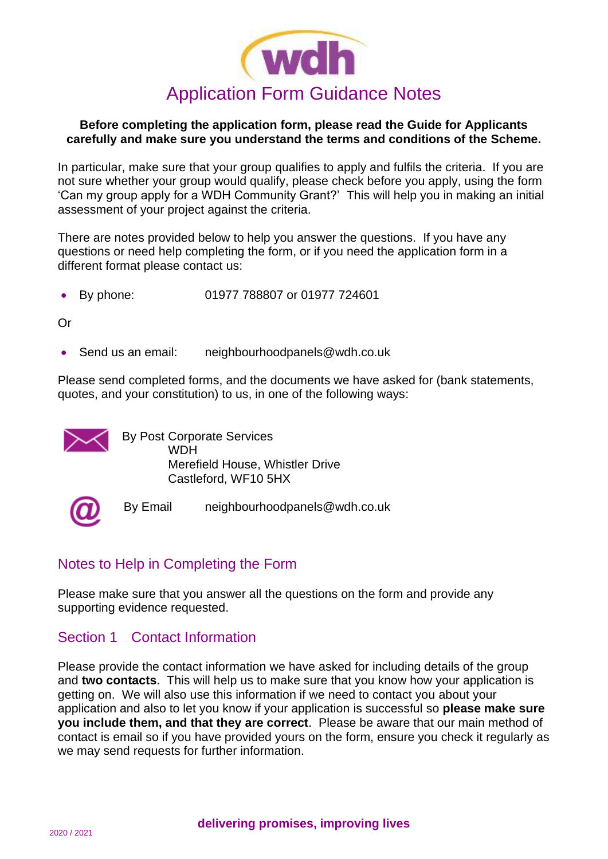

#### **Before completing the application form, please read the Guide for Applicants carefully and make sure you understand the terms and conditions of the Scheme.**

In particular, make sure that your group qualifies to apply and fulfils the criteria. If you are not sure whether your group would qualify, please check before you apply, using the form 'Can my group apply for a WDH Community Grant?' This will help you in making an initial assessment of your project against the criteria.

There are notes provided below to help you answer the questions. If you have any questions or need help completing the form, or if you need the application form in a different format please contact us:

• By phone: 01977 788807 or 01977 724601

Or

• Send us an email: neighbourhoodpanels@wdh.co.uk

Please send completed forms, and the documents we have asked for (bank statements, quotes, and your constitution) to us, in one of the following ways:

By Post Corporate Services **WDH** Merefield House, Whistler Drive Castleford, WF10 5HX



By Email neighbourhoodpanels@wdh.co.uk

## Notes to Help in Completing the Form

Please make sure that you answer all the questions on the form and provide any supporting evidence requested.

## Section 1 Contact Information

Please provide the contact information we have asked for including details of the group and **two contacts**. This will help us to make sure that you know how your application is getting on. We will also use this information if we need to contact you about your application and also to let you know if your application is successful so **please make sure you include them, and that they are correct**. Please be aware that our main method of contact is email so if you have provided yours on the form, ensure you check it regularly as we may send requests for further information.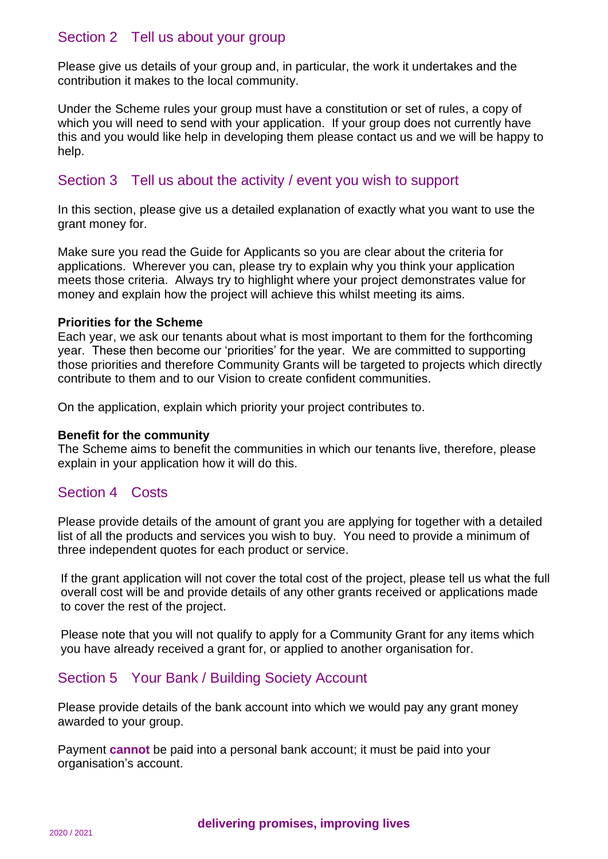## Section 2 Tell us about your group

Please give us details of your group and, in particular, the work it undertakes and the contribution it makes to the local community.

Under the Scheme rules your group must have a constitution or set of rules, a copy of which you will need to send with your application. If your group does not currently have this and you would like help in developing them please contact us and we will be happy to help.

## Section 3 Tell us about the activity / event you wish to support

In this section, please give us a detailed explanation of exactly what you want to use the grant money for.

Make sure you read the Guide for Applicants so you are clear about the criteria for applications. Wherever you can, please try to explain why you think your application meets those criteria. Always try to highlight where your project demonstrates value for money and explain how the project will achieve this whilst meeting its aims.

#### **Priorities for the Scheme**

Each year, we ask our tenants about what is most important to them for the forthcoming year. These then become our 'priorities' for the year. We are committed to supporting those priorities and therefore Community Grants will be targeted to projects which directly contribute to them and to our Vision to create confident communities.

On the application, explain which priority your project contributes to.

#### **Benefit for the community**

The Scheme aims to benefit the communities in which our tenants live, therefore, please explain in your application how it will do this.

#### Section 4 Costs

Please provide details of the amount of grant you are applying for together with a detailed list of all the products and services you wish to buy. You need to provide a minimum of three independent quotes for each product or service.

If the grant application will not cover the total cost of the project, please tell us what the full overall cost will be and provide details of any other grants received or applications made to cover the rest of the project.

Please note that you will not qualify to apply for a Community Grant for any items which you have already received a grant for, or applied to another organisation for.

## Section 5 Your Bank / Building Society Account

Please provide details of the bank account into which we would pay any grant money awarded to your group.

Payment **cannot** be paid into a personal bank account; it must be paid into your organisation's account.